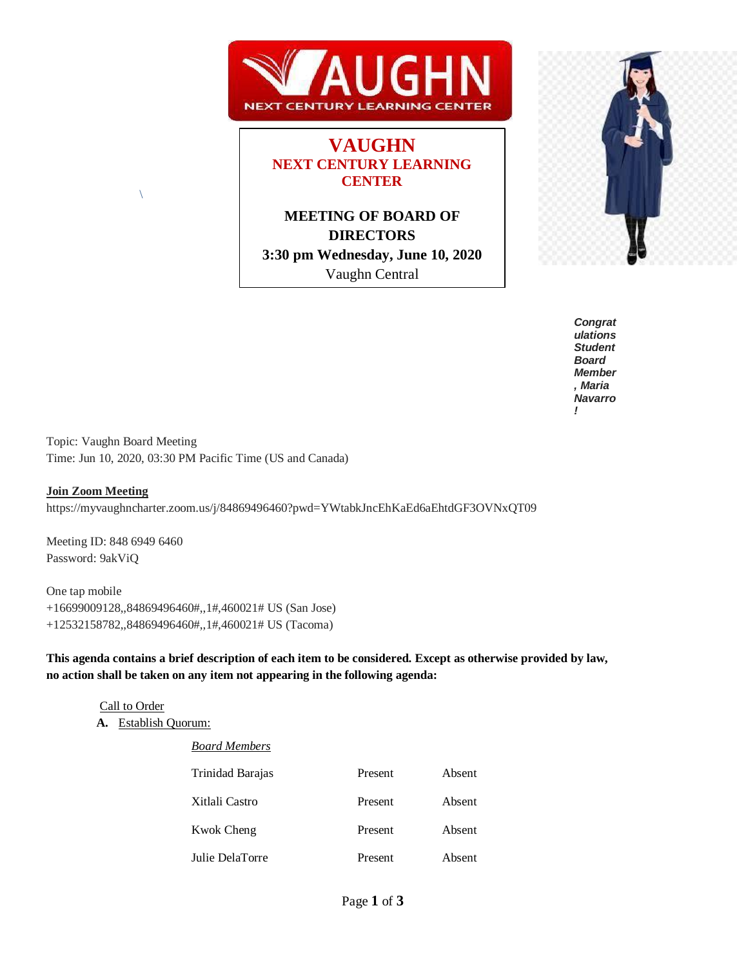

# **VAUGHN NEXT CENTURY LEARNING CENTER**

**MEETING OF BOARD OF DIRECTORS 3:30 pm Wednesday, June 10, 2020** Vaughn Central



*Congrat ulations Student Board Member , Maria Navarro !* 

Topic: Vaughn Board Meeting Time: Jun 10, 2020, 03:30 PM Pacific Time (US and Canada)

#### **Join Zoom Meeting**

https://myvaughncharter.zoom.us/j/84869496460?pwd=YWtabkJncEhKaEd6aEhtdGF3OVNxQT09

Meeting ID: 848 6949 6460 Password: 9akViQ

 $\setminus$ 

One tap mobile +16699009128,,84869496460#,,1#,460021# US (San Jose) +12532158782,,84869496460#,,1#,460021# US (Tacoma)

**This agenda contains a brief description of each item to be considered. Except as otherwise provided by law, no action shall be taken on any item not appearing in the following agenda:**

#### Call to Order

**A.** Establish Quorum:

| <b>Board Members</b> |         |        |
|----------------------|---------|--------|
| Trinidad Barajas     | Present | Absent |
| Xitlali Castro       | Present | Absent |
| <b>Kwok Cheng</b>    | Present | Absent |
| Julie DelaTorre      | Present | Absent |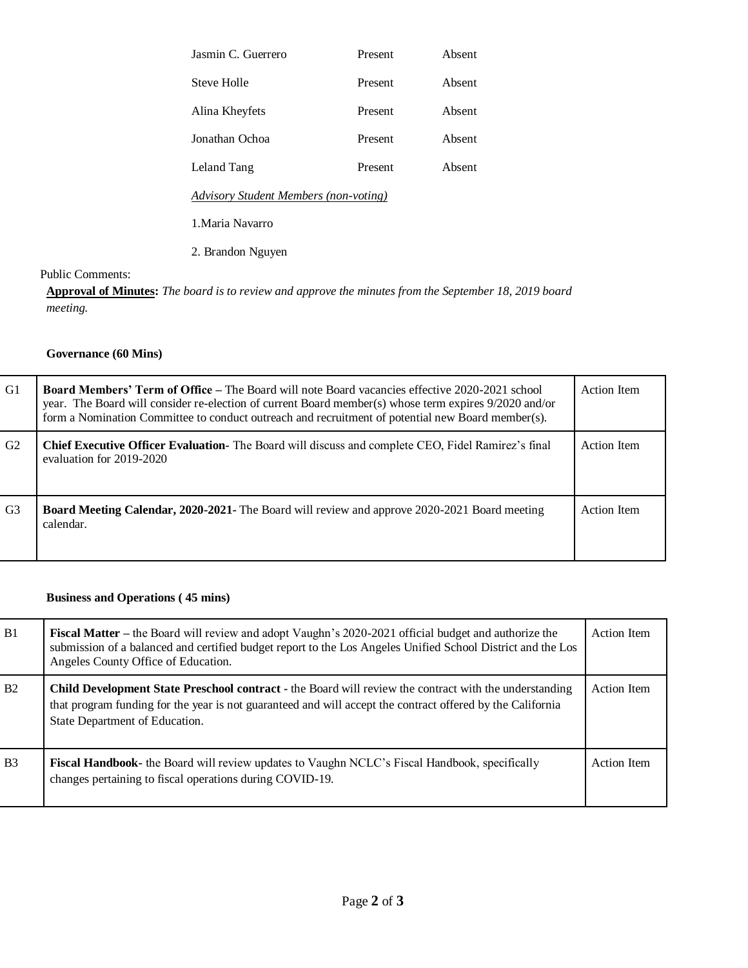| Jasmin C. Guerrero                           | Present | Absent |  |
|----------------------------------------------|---------|--------|--|
| Steve Holle                                  | Present | Absent |  |
| Alina Kheyfets                               | Present | Absent |  |
| Jonathan Ochoa                               | Present | Absent |  |
| Leland Tang                                  | Present | Absent |  |
| <b>Advisory Student Members (non-voting)</b> |         |        |  |
| 1. Maria Navarro                             |         |        |  |
| 2. Brandon Nguyen                            |         |        |  |
|                                              |         |        |  |

Public Comments:

**Approval of Minutes:** *The board is to review and approve the minutes from the September 18, 2019 board meeting.*

## **Governance (60 Mins)**

| G1             | <b>Board Members' Term of Office – The Board will note Board vacancies effective 2020-2021 school</b><br>year. The Board will consider re-election of current Board member(s) whose term expires 9/2020 and/or<br>form a Nomination Committee to conduct outreach and recruitment of potential new Board member(s). | Action Item        |
|----------------|---------------------------------------------------------------------------------------------------------------------------------------------------------------------------------------------------------------------------------------------------------------------------------------------------------------------|--------------------|
| G2             | <b>Chief Executive Officer Evaluation-</b> The Board will discuss and complete CEO, Fidel Ramirez's final<br>evaluation for 2019-2020                                                                                                                                                                               | Action Item        |
| G <sub>3</sub> | <b>Board Meeting Calendar, 2020-2021-</b> The Board will review and approve 2020-2021 Board meeting<br>calendar.                                                                                                                                                                                                    | <b>Action</b> Item |

#### **Business and Operations ( 45 mins)**

| B1             | Fiscal Matter – the Board will review and adopt Vaughn's 2020-2021 official budget and authorize the<br>submission of a balanced and certified budget report to the Los Angeles Unified School District and the Los<br>Angeles County Office of Education.    | Action Item |
|----------------|---------------------------------------------------------------------------------------------------------------------------------------------------------------------------------------------------------------------------------------------------------------|-------------|
| B2             | <b>Child Development State Preschool contract</b> - the Board will review the contract with the understanding<br>that program funding for the year is not guaranteed and will accept the contract offered by the California<br>State Department of Education. | Action Item |
| B <sub>3</sub> | <b>Fiscal Handbook-</b> the Board will review updates to Vaughn NCLC's Fiscal Handbook, specifically<br>changes pertaining to fiscal operations during COVID-19.                                                                                              | Action Item |